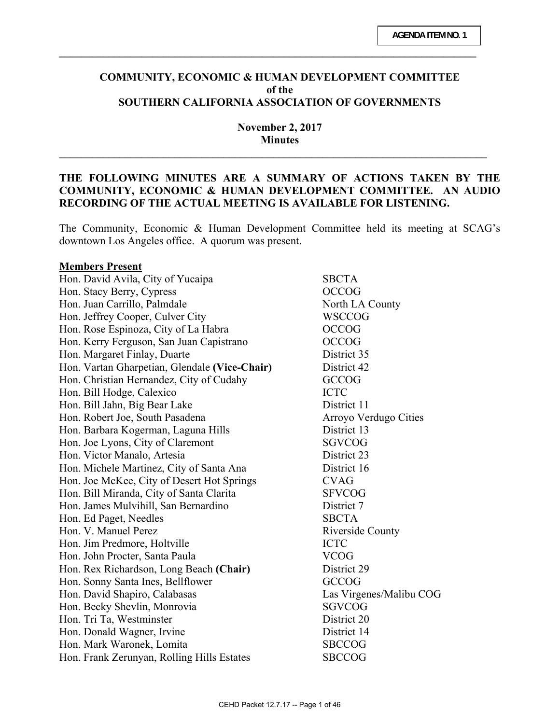### **COMMUNITY, ECONOMIC & HUMAN DEVELOPMENT COMMITTEE of the SOUTHERN CALIFORNIA ASSOCIATION OF GOVERNMENTS**

**\_\_\_\_\_\_\_\_\_\_\_\_\_\_\_\_\_\_\_\_\_\_\_\_\_\_\_\_\_\_\_\_\_\_\_\_\_\_\_\_\_\_\_\_\_\_\_\_\_\_\_\_\_\_\_\_\_\_\_\_\_\_\_\_\_\_\_\_\_\_\_\_\_\_\_\_** 

**November 2, 2017 Minutes** 

**\_\_\_\_\_\_\_\_\_\_\_\_\_\_\_\_\_\_\_\_\_\_\_\_\_\_\_\_\_\_\_\_\_\_\_\_\_\_\_\_\_\_\_\_\_\_\_\_\_\_\_\_\_\_\_\_\_\_\_\_\_\_\_\_\_\_\_\_\_\_\_\_\_\_\_\_\_\_** 

## **THE FOLLOWING MINUTES ARE A SUMMARY OF ACTIONS TAKEN BY THE COMMUNITY, ECONOMIC & HUMAN DEVELOPMENT COMMITTEE. AN AUDIO RECORDING OF THE ACTUAL MEETING IS AVAILABLE FOR LISTENING.**

The Community, Economic & Human Development Committee held its meeting at SCAG's downtown Los Angeles office. A quorum was present.

#### **Members Present**

Hon. David Avila, City of Yucaipa SBCTA Hon. Stacy Berry, Cypress OCCOG Hon. Juan Carrillo, Palmdale North LA County Hon. Jeffrey Cooper, Culver City WSCCOG Hon. Rose Espinoza, City of La Habra  $OCCOG$ Hon. Kerry Ferguson, San Juan Capistrano OCCOG Hon. Margaret Finlay, Duarte District 35 Hon. Vartan Gharpetian, Glendale **(Vice-Chair)** District 42 Hon. Christian Hernandez, City of Cudahy GCCOG Hon. Bill Hodge, Calexico ICTC Hon. Bill Jahn, Big Bear Lake District 11 Hon. Robert Joe, South Pasadena Arroyo Verdugo Cities Hon. Barbara Kogerman, Laguna Hills District 13 Hon. Joe Lyons, City of Claremont SGVCOG Hon. Victor Manalo, Artesia District 23 Hon. Michele Martinez, City of Santa Ana District 16 Hon. Joe McKee, City of Desert Hot Springs CVAG Hon. Bill Miranda, City of Santa Clarita SFVCOG Hon. James Mulvihill, San Bernardino District 7 Hon. Ed Paget, Needles SBCTA Hon. V. Manuel Perez Riverside County Hon. Jim Predmore, Holtville ICTC Hon. John Procter, Santa Paula VCOG Hon. Rex Richardson, Long Beach **(Chair)** District 29 Hon. Sonny Santa Ines, Bellflower GCCOG Hon. David Shapiro, Calabasas Las Virgenes/Malibu COG Hon. Becky Shevlin, Monrovia SGVCOG Hon. Tri Ta, Westminster District 20 Hon. Donald Wagner, Irvine District 14 Hon. Mark Waronek, Lomita SBCCOG Hon. Frank Zerunyan, Rolling Hills Estates SBCCOG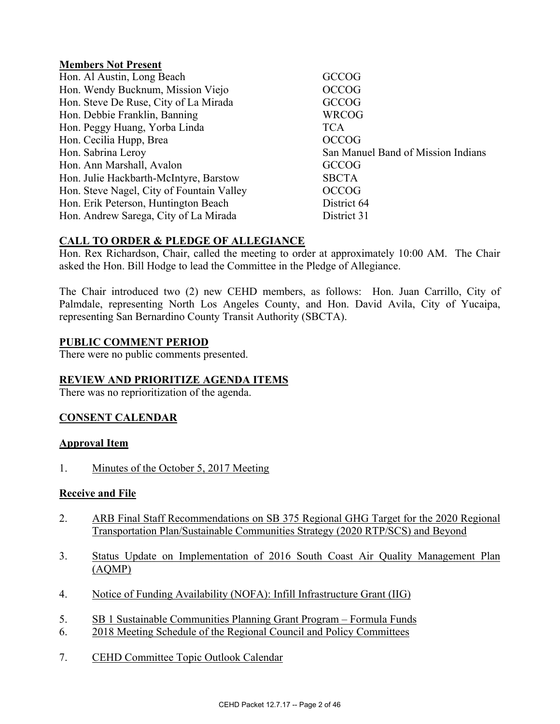## **Members Not Present**

| Hon. Al Austin, Long Beach                | <b>GCCOG</b>                       |
|-------------------------------------------|------------------------------------|
| Hon. Wendy Bucknum, Mission Viejo         | <b>OCCOG</b>                       |
| Hon. Steve De Ruse, City of La Mirada     | <b>GCCOG</b>                       |
| Hon. Debbie Franklin, Banning             | WRCOG                              |
| Hon. Peggy Huang, Yorba Linda             | <b>TCA</b>                         |
| Hon. Cecilia Hupp, Brea                   | <b>OCCOG</b>                       |
| Hon. Sabrina Leroy                        | San Manuel Band of Mission Indians |
| Hon. Ann Marshall, Avalon                 | <b>GCCOG</b>                       |
| Hon. Julie Hackbarth-McIntyre, Barstow    | <b>SBCTA</b>                       |
| Hon. Steve Nagel, City of Fountain Valley | <b>OCCOG</b>                       |
| Hon. Erik Peterson, Huntington Beach      | District 64                        |
| Hon. Andrew Sarega, City of La Mirada     | District 31                        |

# **CALL TO ORDER & PLEDGE OF ALLEGIANCE**

Hon. Rex Richardson, Chair, called the meeting to order at approximately 10:00 AM. The Chair asked the Hon. Bill Hodge to lead the Committee in the Pledge of Allegiance.

The Chair introduced two (2) new CEHD members, as follows: Hon. Juan Carrillo, City of Palmdale, representing North Los Angeles County, and Hon. David Avila, City of Yucaipa, representing San Bernardino County Transit Authority (SBCTA).

## **PUBLIC COMMENT PERIOD**

There were no public comments presented.

# **REVIEW AND PRIORITIZE AGENDA ITEMS**

There was no reprioritization of the agenda.

# **CONSENT CALENDAR**

### **Approval Item**

1. Minutes of the October 5, 2017 Meeting

### **Receive and File**

- 2. ARB Final Staff Recommendations on SB 375 Regional GHG Target for the 2020 Regional Transportation Plan/Sustainable Communities Strategy (2020 RTP/SCS) and Beyond
- 3. Status Update on Implementation of 2016 South Coast Air Quality Management Plan (AQMP)
- 4. Notice of Funding Availability (NOFA): Infill Infrastructure Grant (IIG)
- 5. SB 1 Sustainable Communities Planning Grant Program Formula Funds
- 6. 2018 Meeting Schedule of the Regional Council and Policy Committees
- 7. CEHD Committee Topic Outlook Calendar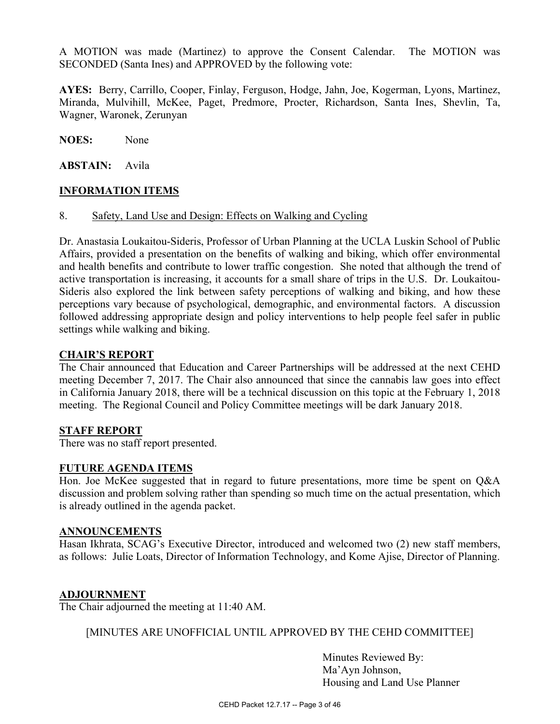A MOTION was made (Martinez) to approve the Consent Calendar. The MOTION was SECONDED (Santa Ines) and APPROVED by the following vote:

**AYES:** Berry, Carrillo, Cooper, Finlay, Ferguson, Hodge, Jahn, Joe, Kogerman, Lyons, Martinez, Miranda, Mulvihill, McKee, Paget, Predmore, Procter, Richardson, Santa Ines, Shevlin, Ta, Wagner, Waronek, Zerunyan

**NOES:** None

**ABSTAIN:** Avila

## **INFORMATION ITEMS**

### 8. Safety, Land Use and Design: Effects on Walking and Cycling

Dr. Anastasia Loukaitou-Sideris, Professor of Urban Planning at the UCLA Luskin School of Public Affairs, provided a presentation on the benefits of walking and biking, which offer environmental and health benefits and contribute to lower traffic congestion. She noted that although the trend of active transportation is increasing, it accounts for a small share of trips in the U.S. Dr. Loukaitou-Sideris also explored the link between safety perceptions of walking and biking, and how these perceptions vary because of psychological, demographic, and environmental factors. A discussion followed addressing appropriate design and policy interventions to help people feel safer in public settings while walking and biking.

### **CHAIR'S REPORT**

The Chair announced that Education and Career Partnerships will be addressed at the next CEHD meeting December 7, 2017. The Chair also announced that since the cannabis law goes into effect in California January 2018, there will be a technical discussion on this topic at the February 1, 2018 meeting. The Regional Council and Policy Committee meetings will be dark January 2018.

### **STAFF REPORT**

There was no staff report presented.

### **FUTURE AGENDA ITEMS**

Hon. Joe McKee suggested that in regard to future presentations, more time be spent on Q&A discussion and problem solving rather than spending so much time on the actual presentation, which is already outlined in the agenda packet.

#### **ANNOUNCEMENTS**

Hasan Ikhrata, SCAG's Executive Director, introduced and welcomed two (2) new staff members, as follows: Julie Loats, Director of Information Technology, and Kome Ajise, Director of Planning.

### **ADJOURNMENT**

The Chair adjourned the meeting at 11:40 AM.

[MINUTES ARE UNOFFICIAL UNTIL APPROVED BY THE CEHD COMMITTEE]

 Minutes Reviewed By: Ma'Ayn Johnson, Housing and Land Use Planner